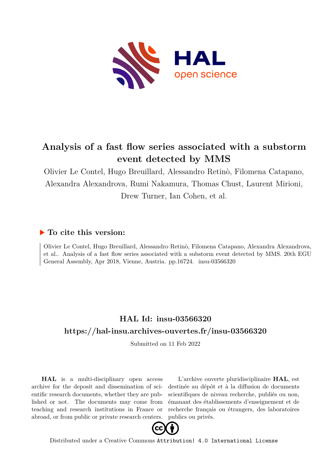

## **Analysis of a fast flow series associated with a substorm event detected by MMS**

Olivier Le Contel, Hugo Breuillard, Alessandro Retinò, Filomena Catapano, Alexandra Alexandrova, Rumi Nakamura, Thomas Chust, Laurent Mirioni, Drew Turner, Ian Cohen, et al.

## **To cite this version:**

Olivier Le Contel, Hugo Breuillard, Alessandro Retinò, Filomena Catapano, Alexandra Alexandrova, et al.. Analysis of a fast flow series associated with a substorm event detected by MMS. 20th EGU General Assembly, Apr 2018, Vienne, Austria. pp.16724. insu-03566320

## **HAL Id: insu-03566320 <https://hal-insu.archives-ouvertes.fr/insu-03566320>**

Submitted on 11 Feb 2022

**HAL** is a multi-disciplinary open access archive for the deposit and dissemination of scientific research documents, whether they are published or not. The documents may come from teaching and research institutions in France or abroad, or from public or private research centers.

L'archive ouverte pluridisciplinaire **HAL**, est destinée au dépôt et à la diffusion de documents scientifiques de niveau recherche, publiés ou non, émanant des établissements d'enseignement et de recherche français ou étrangers, des laboratoires publics ou privés.



Distributed under a Creative Commons [Attribution| 4.0 International License](http://creativecommons.org/licenses/by/4.0/)